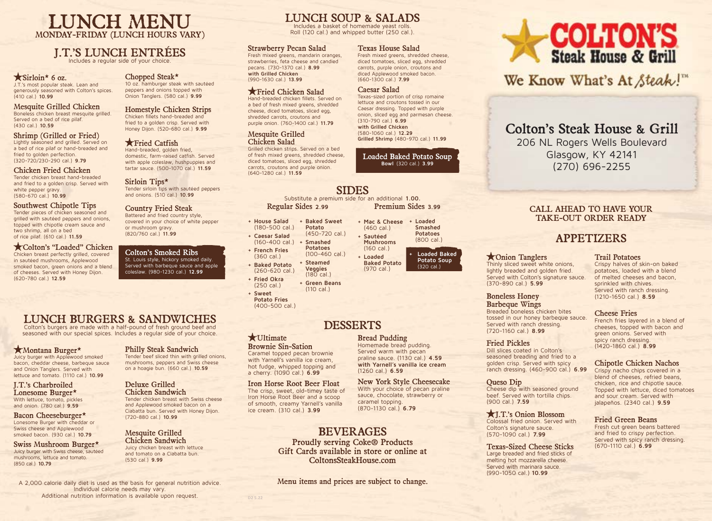## LUNCH MENU MONDAY-FRIDAY (LUNCH HOURS VARY)

## J.T.'S LUNCH ENTRÉES

Includes a regular side of your choice.

### $\star$  Sirloin\* 6 oz.

J.T.'s most popular steak. Lean and generously seasoned with Colton's spices. (410 cal.) **10.99**

#### Mesquite Grilled Chicken Boneless chicken breast mesquite grilled. Served on a bed of rice pilaf. (430 cal.) **10.59**

Shrimp (Grilled or Fried) Lightly seasoned and grilled. Served on a bed of rice pilaf or hand-breaded and fried to golden perfection. (320-720/230-290 cal.) **9.79**

## Chicken Fried Chicken

Tender chicken breast hand-breaded and fried to a golden crisp. Served with white pepper gravy. (580-670 cal.) **10.99**

#### Southwest Chipotle Tips

Tender pieces of chicken seasoned and grilled with sautéed peppers and onions, topped with chipotle cream sauce and two shrimp, all on a bed of rice pilaf. (610 cal.) **11.59**

#### Colton's "Loaded" Chicken

Chicken breast perfectly grilled, covered in sautéed mushrooms, Applewood smoked bacon, green onions and a blend of cheeses. Served with Honey Dijon. (620-780 cal.) **12.59**

## Chopped Steak\*

10 oz. hamburger steak with sautéed peppers and onions topped with Onion Tanglers. (580 cal.) **9.99**

#### Homestyle Chicken Strips Chicken fillets hand-breaded and

fried to a golden crisp. Served with Honey Dijon. (520-680 cal.) **9.99**

#### **K** Fried Catfish

Hand-breaded, golden fried, domestic, farm-raised catfish. Served with apple coleslaw, hushpuppies and tartar sauce. (500-1070 cal.) **11.59**

#### Sirloin Tips\* Tender sirloin tips with sautéed peppers and onions. (510 cal.) **10.99**

Country Fried Steak

Battered and fried country style, covered in your choice of white pepper or mushroom gravy. (820/760 cal.) **11.99**

Colton's Smoked Ribs St. Louis style, hickory smoked daily. Served with barbeque sauce and apple coleslaw. (980-1230 cal.) **12.99**

## LUNCH BURGERS & SANDWICHES

Colton's burgers are made with a half-pound of fresh ground beef and seasoned with our special spices. Includes a regular side of your choice.

#### Montana Burger\*

Juicy burger with Applewood smoked bacon, cheddar cheese, barbeque sauce and Onion Tanglers. Served with lettuce and tomato. (1110 cal.) **10.99**

#### J.T.'s Charbroiled Lonesome Burger\* With lettuce, tomato, pickles and onion. (780 cal.) **9.59**

Bacon Cheeseburger\* Lonesome Burger with cheddar or Swiss cheese and Applewood smoked bacon. (930 cal.) **10.79**

Swiss Mushroom Burger\* Juicy burger with Swiss cheese, sautéed mushrooms, lettuce and tomato. (850 cal.) **10.79**

## Philly Steak Sandwich

Tender beef sliced thin with grilled onions, mushrooms, peppers and Swiss cheese on a hoagie bun. (660 cal.) **10.59**

## Deluxe Grilled

Chicken Sandwich Tender chicken breast with Swiss cheese and Applewood smoked bacon on a Ciabatta bun. Served with Honey Dijon. (720-880 cal.) **10.99**

#### Mesquite Grilled Chicken Sandwich

Juicy chicken breast with lettuce and tomato on a Ciabatta bun. (530 cal.) **9.99**

A 2,000 calorie daily diet is used as the basis for general nutrition advice. Individual calorie needs may vary. Additional nutrition information is available upon request.

# LUNCH SOUP & SALADS

Includes a basket of homemade yeast rolls. Roll (120 cal.) and whipped butter (250 cal.).

#### Strawberry Pecan Salad

Fresh mixed greens, mandarin oranges, strawberries, feta cheese and candied pecans. (730-1370 cal.) **8.99 with Grilled Chicken** (990-1630 cal.) **13.99**

## Fried Chicken Salad

Hand-breaded chicken fillets. Served on a bed of fresh mixed greens, shredded cheese, diced tomatoes, sliced egg, shredded carrots, croutons and purple onion. (760-1400 cal.) **11.79**

#### Mesquite Grilled Chicken Salad

Grilled chicken strips. Served on a bed of fresh mixed greens, shredded cheese, diced tomatoes, sliced egg, shredded carrots, croutons and purple onion. (640-1280 cal.) **11.59**

## SIDES

Regular Sides **2.99**

- **+ House Salad**  (180-500 cal.) **+ Baked Sweet Potato**
- **+ Caesar Salad**  (450-720 cal.)
- (160-400 cal.) **+ French Fries + Smashed Potatoes**
- (360 cal.) **+ Baked Potato**  (100-460 cal.) **+ Steamed**
- (260-620 cal.) **+ Fried Okra Veggies**   $(180$  cal.)
- (250 cal.) **+ Green Beans**  (110 cal.)
- **+ Sweet Potato Fries**  (400-500 cal.)

## DESSERTS

#### **\***Ultimate

**D2 5.22**

Brownie Sin-Sation Caramel topped pecan brownie with Yarnell's vanilla ice cream, hot fudge, whipped topping and a cherry. (1090 cal.) **6.99**

Iron Horse Root Beer Float The crisp, sweet, old-timey taste of Iron Horse Root Beer and a scoop of smooth, creamy Yarnell's vanilla ice cream. (310 cal.) **3.99**

## BEVERAGES

Proudly serving Coke® Products Gift Cards available in store or online at ColtonsSteakHouse.com

Menu items and prices are subject to change.

#### Texas House Salad

Fresh mixed greens, shredded cheese, diced tomatoes, sliced egg, shredded carrots, purple onion, croutons and diced Applewood smoked bacon. (660-1300 cal.) **7.99**

#### Caesar Salad

Texas-sized portion of crisp romaine lettuce and croutons tossed in our Caesar dressing. Topped with purple onion, sliced egg and parmesan cheese. (310-790 cal.) **6.99 with Grilled Chicken**  (580-1060 cal.) **12.29 Grilled Shrimp** (480-970 cal.) **11.99**

#### Loaded Baked Potato Soup **Bowl** (320 cal.) **3.99**

Substitute a premium side for an additional **1.00.** Premium Sides **3.99**

(970 cal.)

Bread Pudding Homemade bread pudding. Served warm with pecan praline sauce. (1130 cal.) **4.59 with Yarnell's vanilla ice cream**

(1260 cal.) **6.59**

caramel topping. (870-1130 cal.) **6.79**

New York Style Cheesecake With your choice of pecan praline sauce, chocolate, strawberry or

**+ Mac & Cheese + Loaded**  (460 cal.) **+ Sautéed Mushrooms** (160 cal.) **+ Loaded Baked Potato Smashed Potatoes** (800 cal.) **+ Loaded Baked** 

**Potato Soup**  (320 cal.)

#### Thinly sliced sweet white onions, lightly breaded and golden fried. Served with Colton's signature sauce. (370-890 cal.) **5.99**

Onion Tanglers

Boneless Honey Barbeque Wings Breaded boneless chicken bites tossed in our honey barbeque sauce. Served with ranch dressing. (720-1160 cal.) **8.99**

#### Fried Pickles

Dill slices coated in Colton's seasoned breading and fried to a golden crisp. Served with spicy ranch dressing. (460-900 cal.) **6.99**

#### Queso Dip

Cheese dip with seasoned ground beef. Served with tortilla chips. (900 cal.) **7.59**

#### J.T.'s Onion Blossom Colossal fried onion. Served with Colton's signature sauce. (570-1090 cal.) **7.99**

Texas-Sized Cheese Sticks Large breaded and fried sticks of melting hot mozzarella cheese. Served with marinara sauce. (990-1050 cal.) **10.99**

# **COLTON'S**<br>Steak House & Grill

We Know What's At Steak!"

# Colton's Steak House & Grill

206 NL Rogers Wells Boulevard Glasgow, KY 42141 (270) 696-2255

## CALL AHEAD TO HAVE YOUR TAKE-OUT ORDER READY

## APPETIZERS

#### Trail Potatoes

Crispy halves of skin-on baked potatoes, loaded with a blend of melted cheeses and bacon, sprinkled with chives. Served with ranch dressing. (1210-1650 cal.) **8.59**

#### Cheese Fries

French fries layered in a blend of cheeses, topped with bacon and green onions. Served with spicy ranch dressing. (1420-1860 cal.) **8.99**

## Chipotle Chicken Nachos

Crispy nacho chips covered in a blend of cheeses, refried beans, chicken, rice and chipotle sauce. Topped with lettuce, diced tomatoes and sour cream. Served with jalapeños. (2340 cal.) **9.59**

### Fried Green Beans

Fresh cut green beans battered and fried to crispy perfection. Served with spicy ranch dressing. (670-1110 cal.) **6.99**